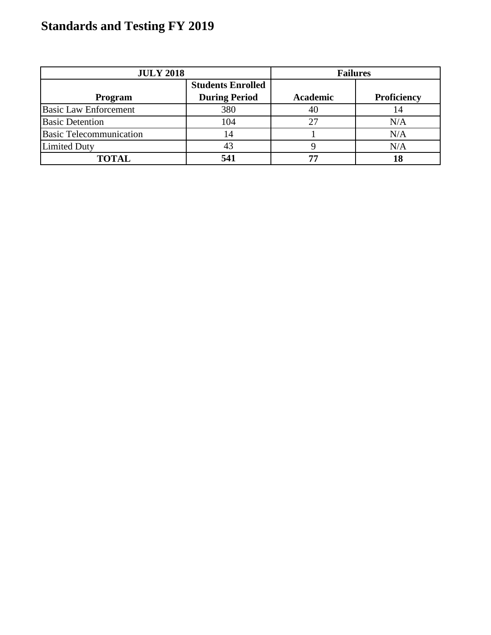| <b>JULY 2018</b>               |                                                  | <b>Failures</b> |                    |
|--------------------------------|--------------------------------------------------|-----------------|--------------------|
| Program                        | <b>Students Enrolled</b><br><b>During Period</b> | Academic        | <b>Proficiency</b> |
|                                |                                                  |                 |                    |
| <b>Basic Law Enforcement</b>   | 380                                              | 40              | 14                 |
| <b>Basic Detention</b>         | 104                                              | 27              | N/A                |
| <b>Basic Telecommunication</b> | 14                                               |                 | N/A                |
| <b>Limited Duty</b>            |                                                  |                 | N/A                |
| <b>TOTAL</b>                   | 541                                              | --              | 18                 |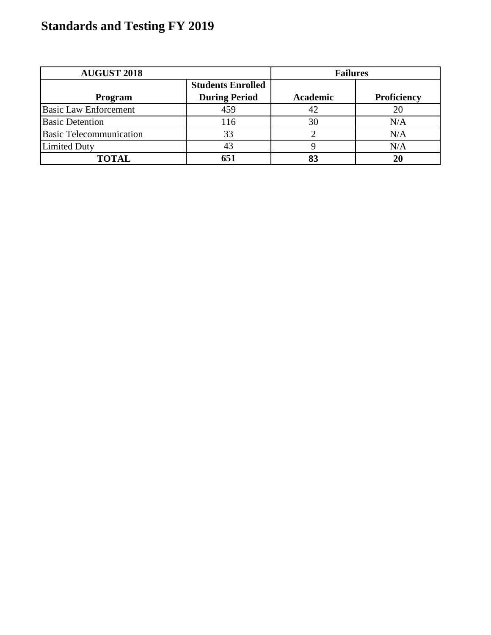| <b>AUGUST 2018</b>             |                                                  | <b>Failures</b> |             |
|--------------------------------|--------------------------------------------------|-----------------|-------------|
| Program                        | <b>Students Enrolled</b><br><b>During Period</b> | <b>Academic</b> | Proficiency |
| <b>Basic Law Enforcement</b>   | 459                                              | 42              |             |
| <b>Basic Detention</b>         | 116                                              | 30              | N/A         |
| <b>Basic Telecommunication</b> | 33                                               |                 | N/A         |
| <b>Limited Duty</b>            |                                                  |                 | N/A         |
| <b>TOTAL</b>                   | 651                                              |                 | 20          |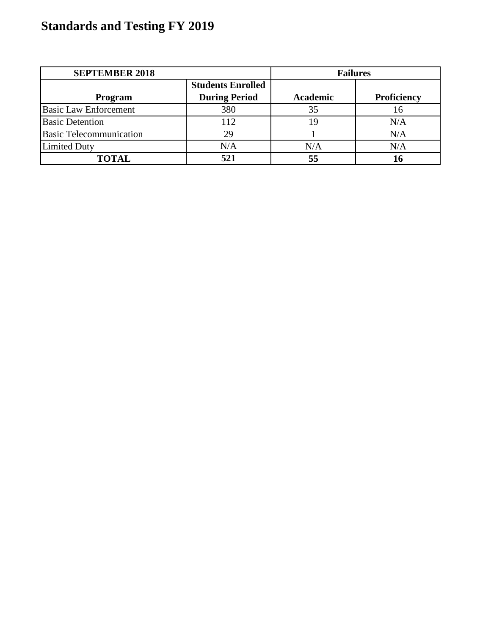| <b>SEPTEMBER 2018</b>          |                          | <b>Failures</b> |             |
|--------------------------------|--------------------------|-----------------|-------------|
|                                | <b>Students Enrolled</b> |                 |             |
| Program                        | <b>During Period</b>     | <b>Academic</b> | Proficiency |
| <b>Basic Law Enforcement</b>   | 380                      | 35              | 16          |
| <b>Basic Detention</b>         | 112                      | 19              | N/A         |
| <b>Basic Telecommunication</b> | 29                       |                 | N/A         |
| <b>Limited Duty</b>            | N/A                      | N/A             | N/A         |
| <b>TOTAL</b>                   | 521                      | 55              |             |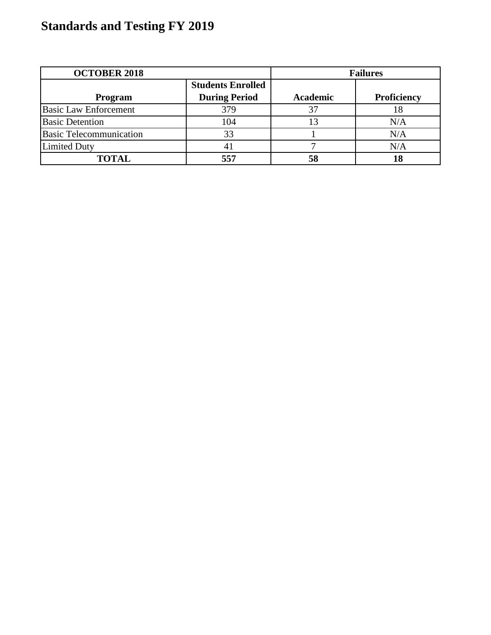| <b>OCTOBER 2018</b>            |                                                  | <b>Failures</b> |             |
|--------------------------------|--------------------------------------------------|-----------------|-------------|
| Program                        | <b>Students Enrolled</b><br><b>During Period</b> | <b>Academic</b> | Proficiency |
|                                |                                                  |                 |             |
| <b>Basic Law Enforcement</b>   | 379                                              | 37              | 18          |
| <b>Basic Detention</b>         | 104                                              |                 | N/A         |
| <b>Basic Telecommunication</b> | 33                                               |                 | N/A         |
| <b>Limited Duty</b>            |                                                  |                 | N/A         |
| <b>TOTAL</b>                   | 557                                              |                 |             |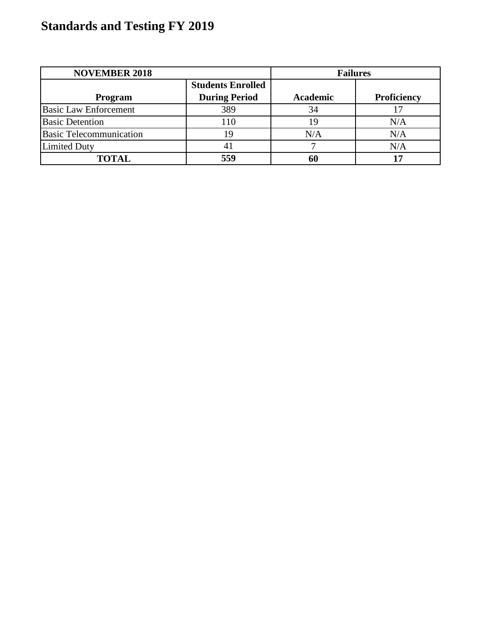| <b>NOVEMBER 2018</b>           |                          | <b>Failures</b> |             |
|--------------------------------|--------------------------|-----------------|-------------|
|                                | <b>Students Enrolled</b> |                 |             |
| Program                        | <b>During Period</b>     | <b>Academic</b> | Proficiency |
| <b>Basic Law Enforcement</b>   | 389                      | 34              |             |
| <b>Basic Detention</b>         | 110                      | 19              | N/A         |
| <b>Basic Telecommunication</b> | 19                       | N/A             | N/A         |
| <b>Limited Duty</b>            |                          |                 | N/A         |
| <b>TOTAL</b>                   | 559                      |                 |             |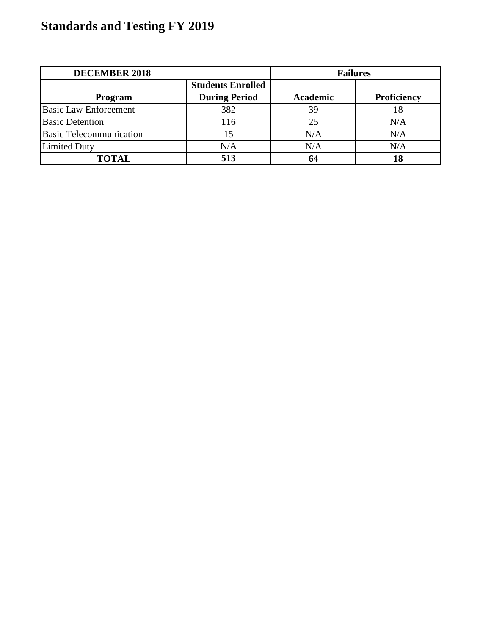| <b>DECEMBER 2018</b>           |                          | <b>Failures</b> |             |
|--------------------------------|--------------------------|-----------------|-------------|
|                                | <b>Students Enrolled</b> |                 |             |
| Program                        | <b>During Period</b>     | <b>Academic</b> | Proficiency |
| <b>Basic Law Enforcement</b>   | 382                      | 39              | 18          |
| <b>Basic Detention</b>         | 116                      | 25              | N/A         |
| <b>Basic Telecommunication</b> |                          | N/A             | N/A         |
| <b>Limited Duty</b>            | N/A                      | N/A             | N/A         |
| <b>TOTAL</b>                   | 513                      |                 |             |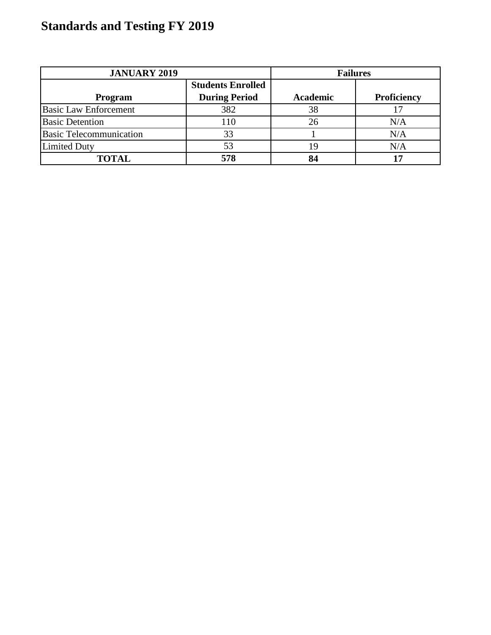| <b>JANUARY 2019</b>            |                                                  | <b>Failures</b> |             |
|--------------------------------|--------------------------------------------------|-----------------|-------------|
| Program                        | <b>Students Enrolled</b><br><b>During Period</b> | Academic        | Proficiency |
| <b>Basic Law Enforcement</b>   | 382                                              | 38              |             |
| <b>Basic Detention</b>         | 110                                              | 26              | N/A         |
| <b>Basic Telecommunication</b> | 33                                               |                 | N/A         |
| <b>Limited Duty</b>            | 53                                               |                 | N/A         |
| <b>TOTAL</b>                   | 578                                              |                 |             |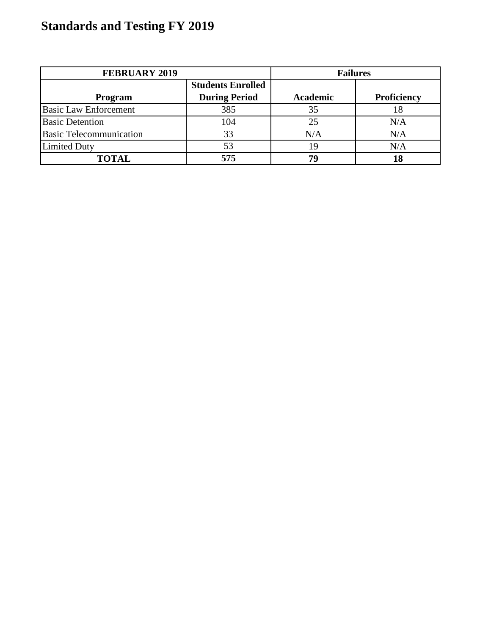| <b>FEBRUARY 2019</b>           |                                                  | <b>Failures</b> |             |
|--------------------------------|--------------------------------------------------|-----------------|-------------|
| Program                        | <b>Students Enrolled</b><br><b>During Period</b> | Academic        | Proficiency |
| <b>Basic Law Enforcement</b>   | 385                                              | 35              | 18          |
| <b>Basic Detention</b>         | 104                                              | 25              | N/A         |
| <b>Basic Telecommunication</b> | 33                                               | N/A             | N/A         |
| <b>Limited Duty</b>            | 53                                               |                 | N/A         |
| <b>TOTAL</b>                   | 575                                              | 70              | 18          |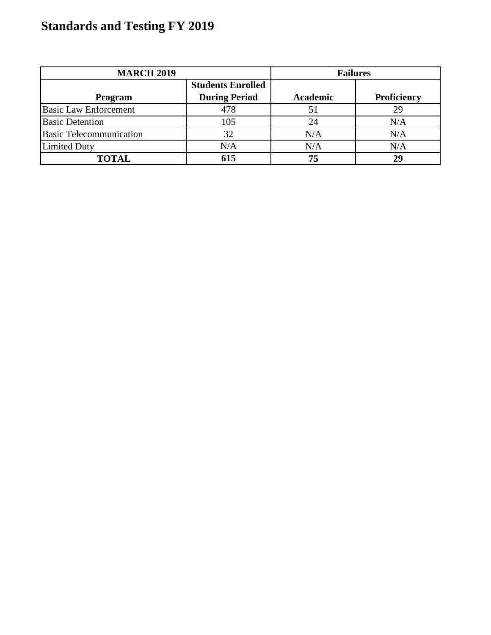| <b>MARCH 2019</b>              |                                                  | <b>Failures</b> |                    |
|--------------------------------|--------------------------------------------------|-----------------|--------------------|
| Program                        | <b>Students Enrolled</b><br><b>During Period</b> | <b>Academic</b> | <b>Proficiency</b> |
| <b>Basic Law Enforcement</b>   | 478                                              | 51              |                    |
| <b>Basic Detention</b>         | 105                                              | 24              | N/A                |
| <b>Basic Telecommunication</b> | 32                                               | N/A             | N/A                |
| <b>Limited Duty</b>            | N/A                                              | N/A             | N/A                |
| <b>TOTAL</b>                   | 615                                              | 75              | 29                 |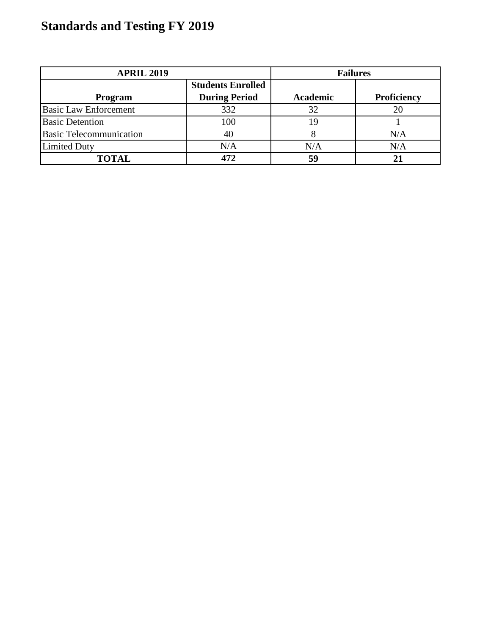| <b>APRIL 2019</b>              |                          | <b>Failures</b> |                    |
|--------------------------------|--------------------------|-----------------|--------------------|
|                                | <b>Students Enrolled</b> |                 |                    |
| Program                        | <b>During Period</b>     | Academic        | <b>Proficiency</b> |
| <b>Basic Law Enforcement</b>   | 332                      | 32              |                    |
| <b>Basic Detention</b>         | 100                      |                 |                    |
| <b>Basic Telecommunication</b> | 40                       |                 | N/A                |
| <b>Limited Duty</b>            | N/A                      | N/A             | N/A                |
| <b>TOTAL</b>                   |                          | 59              |                    |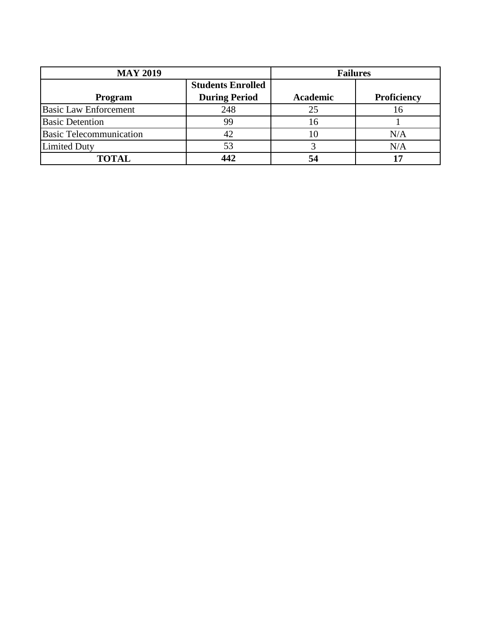| <b>MAY 2019</b>                |                          | <b>Failures</b> |                    |
|--------------------------------|--------------------------|-----------------|--------------------|
|                                | <b>Students Enrolled</b> |                 |                    |
| Program                        | <b>During Period</b>     | <b>Academic</b> | <b>Proficiency</b> |
| <b>Basic Law Enforcement</b>   | 248                      | 25              | 16                 |
| <b>Basic Detention</b>         | 99                       | 6               |                    |
| <b>Basic Telecommunication</b> |                          |                 | N/A                |
| <b>Limited Duty</b>            | 53                       |                 | N/A                |
| <b>TOTAL</b>                   |                          |                 |                    |